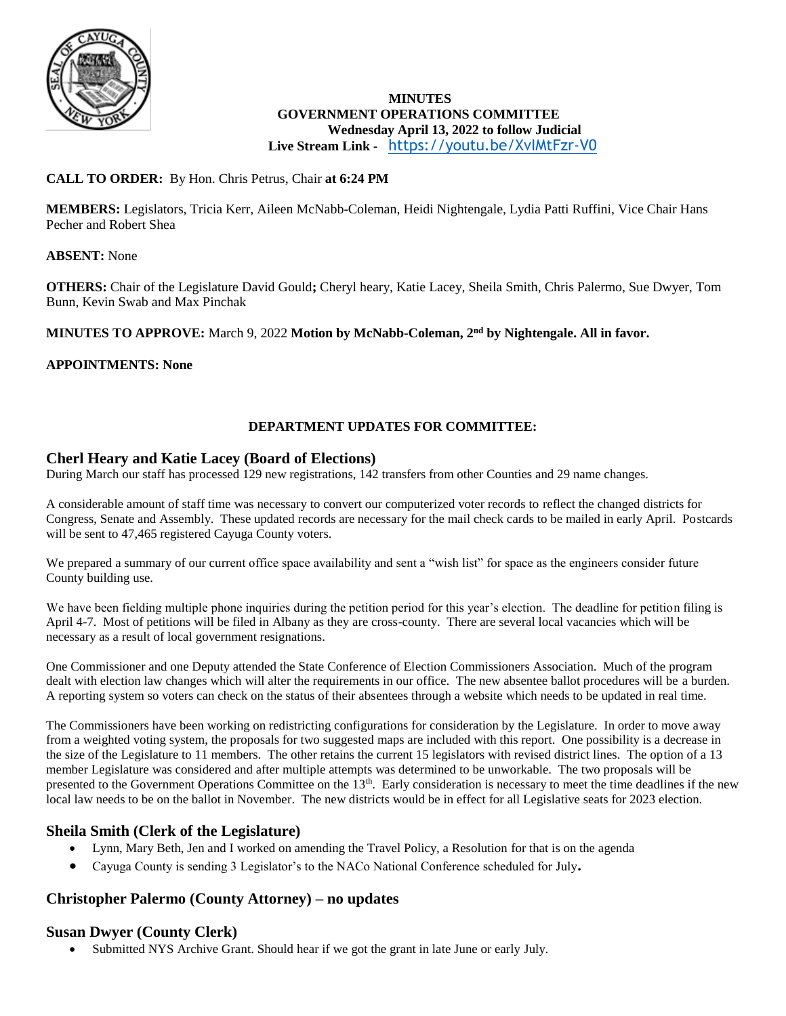

# **MINUTES GOVERNMENT OPERATIONS COMMITTEE Wednesday April 13, 2022 to follow Judicial**

**Live Stream Link -** <https://youtu.be/XvIMtFzr-V0>

# **CALL TO ORDER:** By Hon. Chris Petrus, Chair **at 6:24 PM**

**MEMBERS:** Legislators, Tricia Kerr, Aileen McNabb-Coleman, Heidi Nightengale, Lydia Patti Ruffini, Vice Chair Hans Pecher and Robert Shea

### **ABSENT:** None

**OTHERS:** Chair of the Legislature David Gould**;** Cheryl heary, Katie Lacey, Sheila Smith, Chris Palermo, Sue Dwyer, Tom Bunn, Kevin Swab and Max Pinchak

### **MINUTES TO APPROVE:** March 9, 2022 **Motion by McNabb-Coleman, 2nd by Nightengale. All in favor.**

# **APPOINTMENTS: None**

# **DEPARTMENT UPDATES FOR COMMITTEE:**

# **Cherl Heary and Katie Lacey (Board of Elections)**

During March our staff has processed 129 new registrations, 142 transfers from other Counties and 29 name changes.

A considerable amount of staff time was necessary to convert our computerized voter records to reflect the changed districts for Congress, Senate and Assembly. These updated records are necessary for the mail check cards to be mailed in early April. Postcards will be sent to 47,465 registered Cayuga County voters.

We prepared a summary of our current office space availability and sent a "wish list" for space as the engineers consider future County building use.

We have been fielding multiple phone inquiries during the petition period for this year's election. The deadline for petition filing is April 4-7. Most of petitions will be filed in Albany as they are cross-county. There are several local vacancies which will be necessary as a result of local government resignations.

One Commissioner and one Deputy attended the State Conference of Election Commissioners Association. Much of the program dealt with election law changes which will alter the requirements in our office. The new absentee ballot procedures will be a burden. A reporting system so voters can check on the status of their absentees through a website which needs to be updated in real time.

The Commissioners have been working on redistricting configurations for consideration by the Legislature. In order to move away from a weighted voting system, the proposals for two suggested maps are included with this report. One possibility is a decrease in the size of the Legislature to 11 members. The other retains the current 15 legislators with revised district lines. The option of a 13 member Legislature was considered and after multiple attempts was determined to be unworkable. The two proposals will be presented to the Government Operations Committee on the 13<sup>th</sup>. Early consideration is necessary to meet the time deadlines if the new local law needs to be on the ballot in November. The new districts would be in effect for all Legislative seats for 2023 election.

# **Sheila Smith (Clerk of the Legislature)**

- Lynn, Mary Beth, Jen and I worked on amending the Travel Policy, a Resolution for that is on the agenda
- Cayuga County is sending 3 Legislator's to the NACo National Conference scheduled for July**.**

# **Christopher Palermo (County Attorney) – no updates**

# **Susan Dwyer (County Clerk)**

Submitted NYS Archive Grant. Should hear if we got the grant in late June or early July.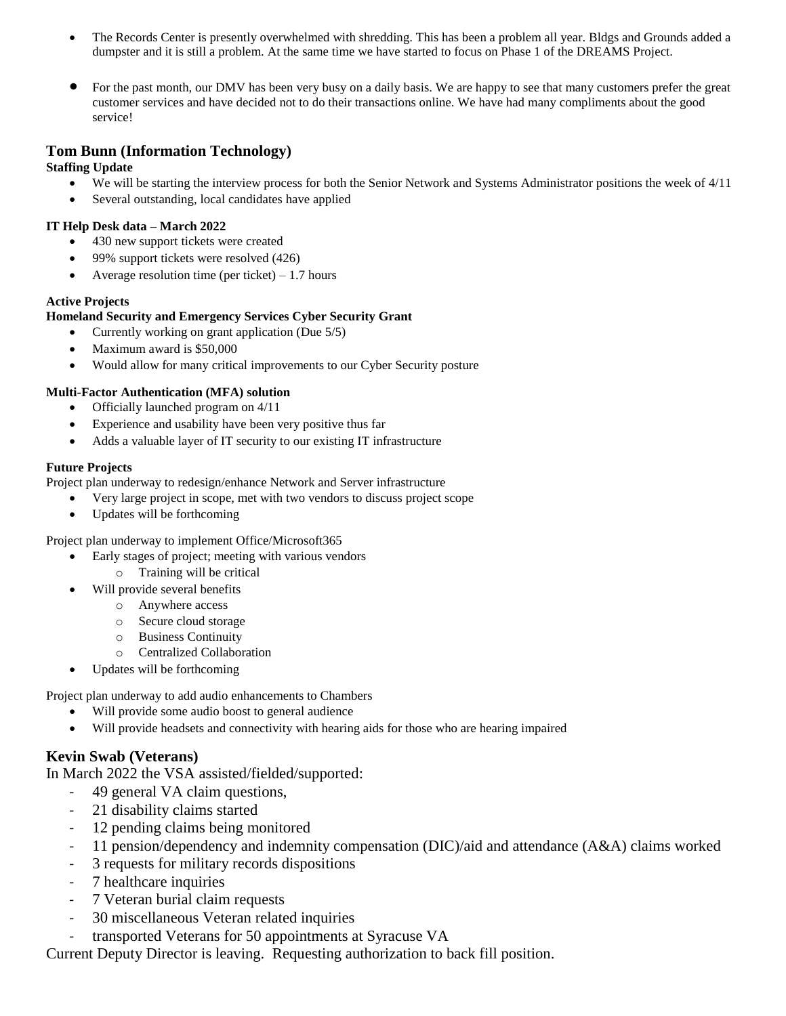- The Records Center is presently overwhelmed with shredding. This has been a problem all year. Bldgs and Grounds added a dumpster and it is still a problem. At the same time we have started to focus on Phase 1 of the DREAMS Project.
- For the past month, our DMV has been very busy on a daily basis. We are happy to see that many customers prefer the great customer services and have decided not to do their transactions online. We have had many compliments about the good service!

# **Tom Bunn (Information Technology)**

**Staffing Update**

- We will be starting the interview process for both the Senior Network and Systems Administrator positions the week of 4/11
- Several outstanding, local candidates have applied

#### **IT Help Desk data – March 2022**

- 430 new support tickets were created
- 99% support tickets were resolved (426)
- Average resolution time (per ticket)  $-1.7$  hours

#### **Active Projects**

### **Homeland Security and Emergency Services Cyber Security Grant**

- Currently working on grant application (Due 5/5)
- Maximum award is \$50,000
- Would allow for many critical improvements to our Cyber Security posture

#### **Multi-Factor Authentication (MFA) solution**

- Officially launched program on 4/11
- Experience and usability have been very positive thus far
- Adds a valuable layer of IT security to our existing IT infrastructure

#### **Future Projects**

Project plan underway to redesign/enhance Network and Server infrastructure

- Very large project in scope, met with two vendors to discuss project scope
- Updates will be forthcoming

Project plan underway to implement Office/Microsoft365

- Early stages of project; meeting with various vendors
	- o Training will be critical
	- Will provide several benefits
		- o Anywhere access
		- o Secure cloud storage
		- o Business Continuity
		- o Centralized Collaboration
- Updates will be forthcoming

Project plan underway to add audio enhancements to Chambers

- Will provide some audio boost to general audience
- Will provide headsets and connectivity with hearing aids for those who are hearing impaired

# **Kevin Swab (Veterans)**

In March 2022 the VSA assisted/fielded/supported:

- 49 general VA claim questions,
- 21 disability claims started
- 12 pending claims being monitored
- 11 pension/dependency and indemnity compensation (DIC)/aid and attendance (A&A) claims worked
- 3 requests for military records dispositions
- 7 healthcare inquiries
- 7 Veteran burial claim requests
- 30 miscellaneous Veteran related inquiries
- transported Veterans for 50 appointments at Syracuse VA

Current Deputy Director is leaving. Requesting authorization to back fill position.